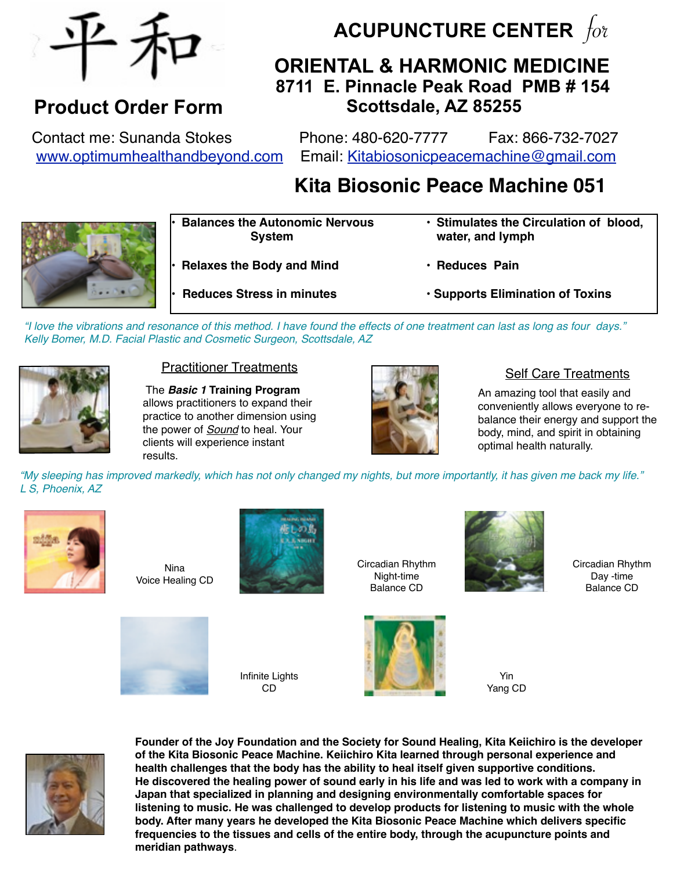

## **Product Order Form**

**ACUPUNCTURE CENTER**  $f_{0}$ 

## **ORIENTAL & HARMONIC MEDICINE 8711 E. Pinnacle Peak Road PMB # 154 Scottsdale, AZ 85255**

Contact me: Sunanda Stokes Phone: 480-620-7777 Fax: 866-732-7027 [www.optimumhealthandbeyond.com](http://www.optimumhealthandbeyond.com) Email: [Kitabiosonicpeacemachine@gmail.com](mailto:Sunanda4health@gmail.com)

# **Kita Biosonic Peace Machine 051**



**• Balances the Autonomic Nervous ! ! System**

- **Relaxes the Body and Mind**
- **Reduces Pain**

**water, and lymph**

- • **Reduces Stress in minutes**
- • **Supports Elimination of Toxins**

• **Stimulates the Circulation of blood,** 

*"I love the vibrations and resonance of this method. I have found the effects of one treatment can last as long as four days." Kelly Bomer, M.D. Facial Plastic and Cosmetic Surgeon, Scottsdale, AZ*



#### Practitioner Treatments

 The *Basic 1* **Training Program**  allows practitioners to expand their practice to another dimension using the power of *Sound* to heal. Your clients will experience instant results.



#### Self Care Treatments

An amazing tool that easily and conveniently allows everyone to rebalance their energy and support the body, mind, and spirit in obtaining optimal health naturally.

*"My sleeping has improved markedly, which has not only changed my nights, but more importantly, it has given me back my life." L S, Phoenix, AZ*



Nina Voice Healing CD



Circadian Rhythm Night-time Balance CD



Circadian Rhythm Day -time Balance CD



Infinite Lights CD

Yin Yang CD



**Founder of the Joy Foundation and the Society for Sound Healing, Kita Keiichiro is the developer of the Kita Biosonic Peace Machine. Keiichiro Kita learned through personal experience and health challenges that the body has the ability to heal itself given supportive conditions. He discovered the healing power of sound early in his life and was led to work with a company in Japan that specialized in planning and designing environmentally comfortable spaces for listening to music. He was challenged to develop products for listening to music with the whole body. After many years he developed the Kita Biosonic Peace Machine which delivers specific frequencies to the tissues and cells of the entire body, through the acupuncture points and meridian pathways**.